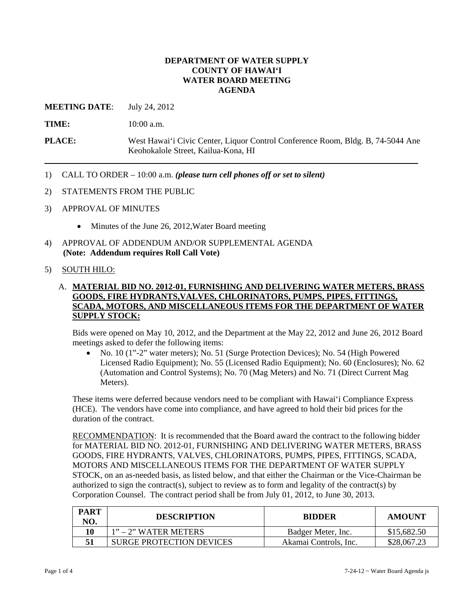## **DEPARTMENT OF WATER SUPPLY COUNTY OF HAWAI'I WATER BOARD MEETING AGENDA**

**MEETING DATE**: July 24, 2012

**TIME:** 10:00 a.m.

- **PLACE:** West Hawai'i Civic Center, Liquor Control Conference Room, Bldg. B, 74-5044 Ane Keohokalole Street, Kailua-Kona, HI
- 1) CALL TO ORDER 10:00 a.m. *(please turn cell phones off or set to silent)*
- 2) STATEMENTS FROM THE PUBLIC
- 3) APPROVAL OF MINUTES
	- Minutes of the June 26, 2012, Water Board meeting
- 4) APPROVAL OF ADDENDUM AND/OR SUPPLEMENTAL AGENDA **(Note: Addendum requires Roll Call Vote)**

#### 5) SOUTH HILO:

# A. **MATERIAL BID NO. 2012-01, FURNISHING AND DELIVERING WATER METERS, BRASS GOODS, FIRE HYDRANTS,VALVES, CHLORINATORS, PUMPS, PIPES, FITTINGS, SCADA, MOTORS, AND MISCELLANEOUS ITEMS FOR THE DEPARTMENT OF WATER SUPPLY STOCK:**

Bids were opened on May 10, 2012, and the Department at the May 22, 2012 and June 26, 2012 Board meetings asked to defer the following items:

 No. 10 (1"-2" water meters); No. 51 (Surge Protection Devices); No. 54 (High Powered Licensed Radio Equipment); No. 55 (Licensed Radio Equipment); No. 60 (Enclosures); No. 62 (Automation and Control Systems); No. 70 (Mag Meters) and No. 71 (Direct Current Mag Meters).

These items were deferred because vendors need to be compliant with Hawai'i Compliance Express (HCE). The vendors have come into compliance, and have agreed to hold their bid prices for the duration of the contract.

RECOMMENDATION: It is recommended that the Board award the contract to the following bidder for MATERIAL BID NO. 2012-01, FURNISHING AND DELIVERING WATER METERS, BRASS GOODS, FIRE HYDRANTS, VALVES, CHLORINATORS, PUMPS, PIPES, FITTINGS, SCADA, MOTORS AND MISCELLANEOUS ITEMS FOR THE DEPARTMENT OF WATER SUPPLY STOCK, on an as-needed basis, as listed below, and that either the Chairman or the Vice-Chairman be authorized to sign the contract(s), subject to review as to form and legality of the contract(s) by Corporation Counsel. The contract period shall be from July 01, 2012, to June 30, 2013.

| <b>PART</b><br>NO. | <b>DESCRIPTION</b>       | <b>BIDDER</b>         | <b>AMOUNT</b> |
|--------------------|--------------------------|-----------------------|---------------|
|                    | $1"$ – 2" WATER METERS   | Badger Meter, Inc.    | \$15,682.50   |
|                    | SURGE PROTECTION DEVICES | Akamai Controls, Inc. | \$28,067.23   |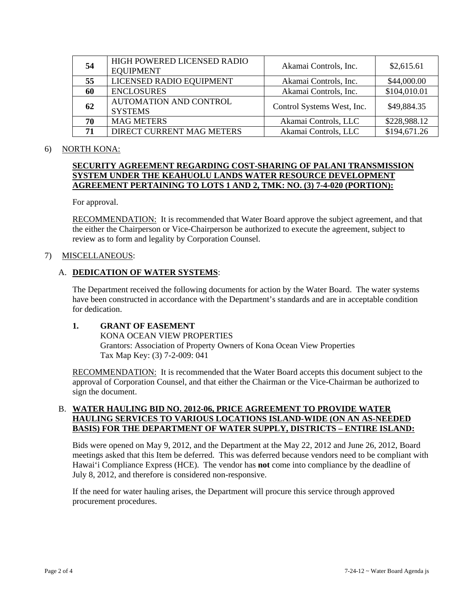| 54 | HIGH POWERED LICENSED RADIO<br><b>EQUIPMENT</b> | Akamai Controls, Inc.      | \$2,615.61   |
|----|-------------------------------------------------|----------------------------|--------------|
| 55 | LICENSED RADIO EQUIPMENT                        | Akamai Controls, Inc.      | \$44,000.00  |
| 60 | <b>ENCLOSURES</b>                               | Akamai Controls, Inc.      | \$104,010.01 |
| 62 | <b>AUTOMATION AND CONTROL</b><br><b>SYSTEMS</b> | Control Systems West, Inc. | \$49,884.35  |
| 70 | <b>MAG METERS</b>                               | Akamai Controls, LLC       | \$228,988.12 |
| 71 | DIRECT CURRENT MAG METERS                       | Akamai Controls, LLC       | \$194,671.26 |

#### 6) NORTH KONA:

# **SECURITY AGREEMENT REGARDING COST-SHARING OF PALANI TRANSMISSION SYSTEM UNDER THE KEAHUOLU LANDS WATER RESOURCE DEVELOPMENT AGREEMENT PERTAINING TO LOTS 1 AND 2, TMK: NO. (3) 7-4-020 (PORTION):**

For approval.

RECOMMENDATION: It is recommended that Water Board approve the subject agreement, and that the either the Chairperson or Vice-Chairperson be authorized to execute the agreement, subject to review as to form and legality by Corporation Counsel.

## 7) MISCELLANEOUS:

# A. **DEDICATION OF WATER SYSTEMS**:

The Department received the following documents for action by the Water Board. The water systems have been constructed in accordance with the Department's standards and are in acceptable condition for dedication.

# **1. GRANT OF EASEMENT**

 KONA OCEAN VIEW PROPERTIES Grantors: Association of Property Owners of Kona Ocean View Properties Tax Map Key: (3) 7-2-009: 041

RECOMMENDATION: It is recommended that the Water Board accepts this document subject to the approval of Corporation Counsel, and that either the Chairman or the Vice-Chairman be authorized to sign the document.

# B. **WATER HAULING BID NO. 2012-06, PRICE AGREEMENT TO PROVIDE WATER HAULING SERVICES TO VARIOUS LOCATIONS ISLAND-WIDE (ON AN AS-NEEDED BASIS) FOR THE DEPARTMENT OF WATER SUPPLY, DISTRICTS – ENTIRE ISLAND:**

Bids were opened on May 9, 2012, and the Department at the May 22, 2012 and June 26, 2012, Board meetings asked that this Item be deferred. This was deferred because vendors need to be compliant with Hawai'i Compliance Express (HCE). The vendor has **not** come into compliance by the deadline of July 8, 2012, and therefore is considered non-responsive.

If the need for water hauling arises, the Department will procure this service through approved procurement procedures.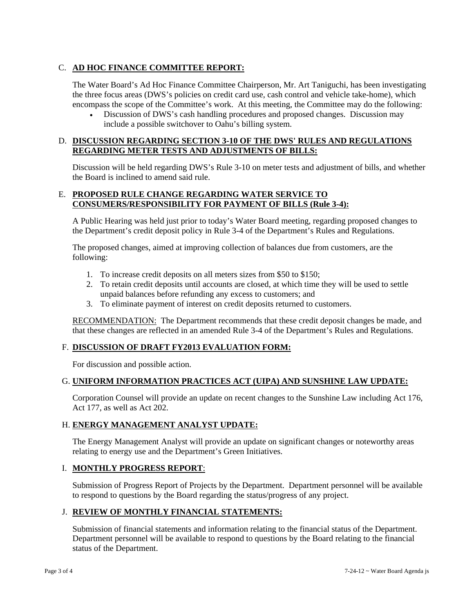# C. **AD HOC FINANCE COMMITTEE REPORT:**

The Water Board's Ad Hoc Finance Committee Chairperson, Mr. Art Taniguchi, has been investigating the three focus areas (DWS's policies on credit card use, cash control and vehicle take-home), which encompass the scope of the Committee's work. At this meeting, the Committee may do the following:

 Discussion of DWS's cash handling procedures and proposed changes. Discussion may include a possible switchover to Oahu's billing system.

## D. **DISCUSSION REGARDING SECTION 3-10 OF THE DWS' RULES AND REGULATIONS REGARDING METER TESTS AND ADJUSTMENTS OF BILLS:**

Discussion will be held regarding DWS's Rule 3-10 on meter tests and adjustment of bills, and whether the Board is inclined to amend said rule.

#### E. **PROPOSED RULE CHANGE REGARDING WATER SERVICE TO CONSUMERS/RESPONSIBILITY FOR PAYMENT OF BILLS (Rule 3-4):**

A Public Hearing was held just prior to today's Water Board meeting, regarding proposed changes to the Department's credit deposit policy in Rule 3-4 of the Department's Rules and Regulations.

The proposed changes, aimed at improving collection of balances due from customers, are the following:

- 1. To increase credit deposits on all meters sizes from \$50 to \$150;
- 2. To retain credit deposits until accounts are closed, at which time they will be used to settle unpaid balances before refunding any excess to customers; and
- 3. To eliminate payment of interest on credit deposits returned to customers.

RECOMMENDATION: The Department recommends that these credit deposit changes be made, and that these changes are reflected in an amended Rule 3-4 of the Department's Rules and Regulations.

# F. **DISCUSSION OF DRAFT FY2013 EVALUATION FORM:**

For discussion and possible action.

## G. **UNIFORM INFORMATION PRACTICES ACT (UIPA) AND SUNSHINE LAW UPDATE:**

Corporation Counsel will provide an update on recent changes to the Sunshine Law including Act 176, Act 177, as well as Act 202.

## H. **ENERGY MANAGEMENT ANALYST UPDATE:**

The Energy Management Analyst will provide an update on significant changes or noteworthy areas relating to energy use and the Department's Green Initiatives.

## I. **MONTHLY PROGRESS REPORT**:

Submission of Progress Report of Projects by the Department. Department personnel will be available to respond to questions by the Board regarding the status/progress of any project.

## J. **REVIEW OF MONTHLY FINANCIAL STATEMENTS:**

Submission of financial statements and information relating to the financial status of the Department. Department personnel will be available to respond to questions by the Board relating to the financial status of the Department.